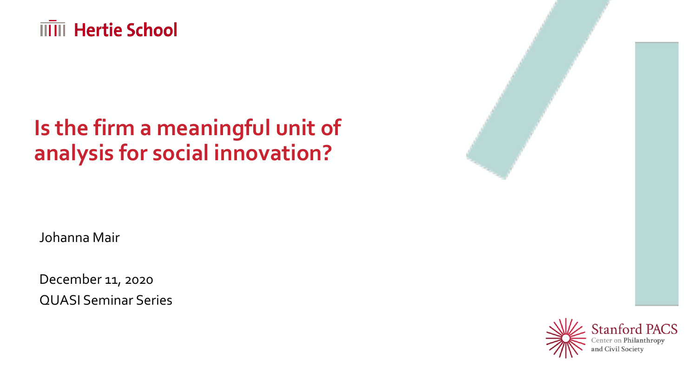

# **Is the firm a meaningful unit of analysis for social innovation?**

Johanna Mair

December 11, 2020 QUASI Seminar Series

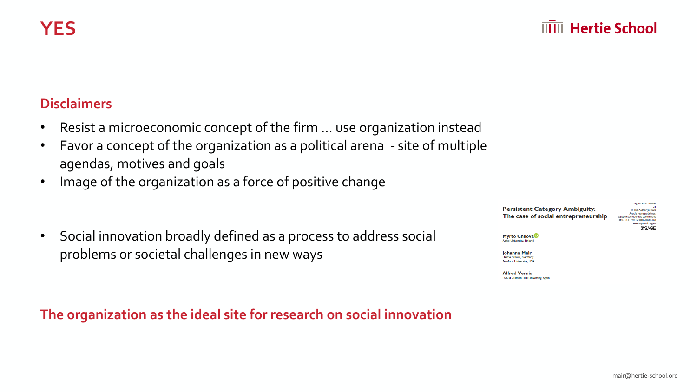**SSAGE** 

### **Disclaimers**

- Resist a microeconomic concept of the firm … use organization instead
- Favor a concept of the organization as a political arena site of multiple agendas, motives and goals
- Image of the organization as a force of positive change
- Social innovation broadly defined as a process to address social problems or societal challenges in new ways

**The organization as the ideal site for research on social innovation** 

**Persistent Category Ambiguity:** C The Author(s) 2020 Article reuse guidelines The case of social entrepreneurship Sagepub.com/journals-permissions www.egosnet.org/os

Myrto Chliova<sup>®</sup> to University, Finland

**Iohanna Mair** .<br>Hertle School, German Stanford University, USA

**Alfred Vernis ESADE-Ramon Hull University, Snat**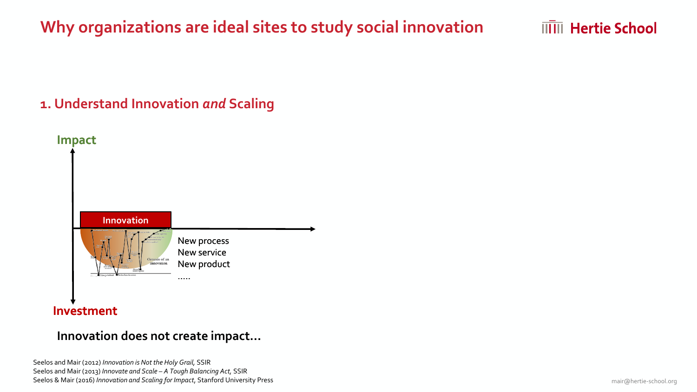**IIIII** Hertie School

## **1. Understand Innovation** *and* **Scaling**



#### **Investment**

#### **Innovation does not create impact…**

Seelos and Mair (2012) *Innovation is Not the Holy Grail,* SSIR Seelos and Mair (2013) *Innovate and Scale – A Tough Balancing Act,* SSIR Seelos & Mair (2016) *Innovation and Scaling for Impact*, Stanford University Press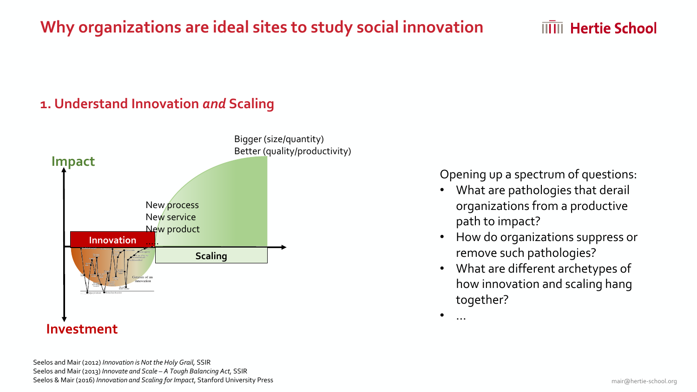## **1. Understand Innovation** *and* **Scaling**



Seelos and Mair (2012) *Innovation is Not the Holy Grail,* SSIR Seelos and Mair (2013) *Innovate and Scale – A Tough Balancing Act,* SSIR Seelos & Mair (2016) *Innovation and Scaling for Impact*, Stanford University Press Opening up a spectrum of questions:

**IIIII** Hertie School

- What are pathologies that derail organizations from a productive path to impact?
- How do organizations suppress or remove such pathologies?
- What are different archetypes of how innovation and scaling hang together?

 $\bullet$  …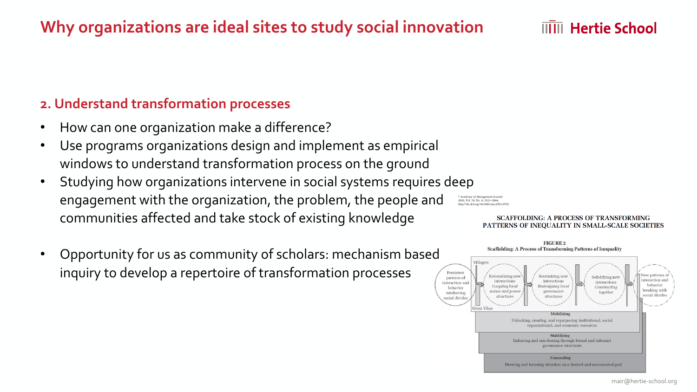#### **2. Understand transformation processes**

- How can one organization make a difference?
- Use programs organizations design and implement as empirical windows to understand transformation process on the ground
- Studying how organizations intervene in social systems requires deep engagement with the organization, the problem, the people and communities affected and take stock of existing knowledge
- Opportunity for us as community of scholars: mechanism based inquiry to develop a repertoire of transformation processes



#### **SCAFFOLDING: A PROCESS OF TRANSFORMING** PATTERNS OF INEQUALITY IN SMALL-SCALE SOCIETIES

**THE Hertie School** 

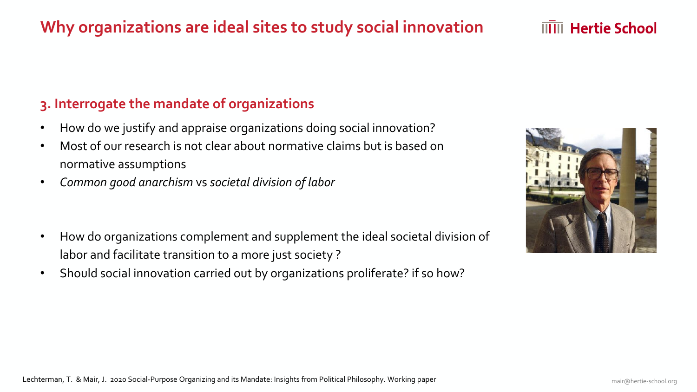#### **3. Interrogate the mandate of organizations**

- How do we justify and appraise organizations doing social innovation?
- Most of our research is not clear about normative claims but is based on normative assumptions
- *Common good anarchism* vs *societal division of labor*

- How do organizations complement and supplement the ideal societal division of labor and facilitate transition to a more just society ?
- Should social innovation carried out by organizations proliferate? if so how?



**IIIII** Hertie School